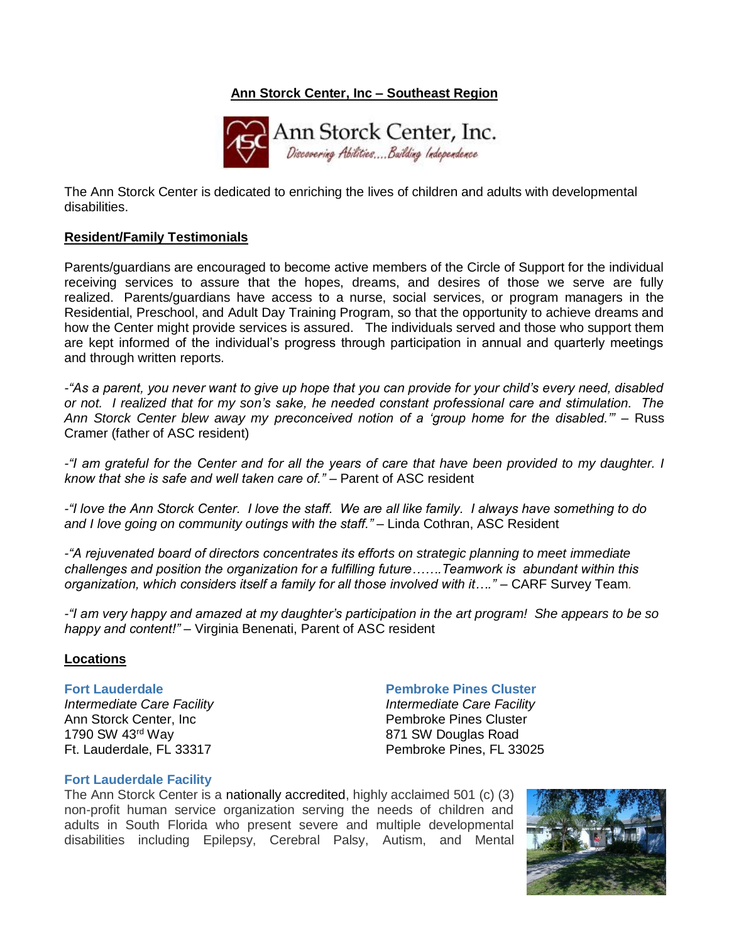# **Ann Storck Center, Inc – Southeast Region**



The Ann Storck Center is dedicated to enriching the lives of children and adults with developmental disabilities.

### **Resident/Family Testimonials**

Parents/guardians are encouraged to become active members of the Circle of Support for the individual receiving services to assure that the hopes, dreams, and desires of those we serve are fully realized. Parents/guardians have access to a nurse, social services, or program managers in the Residential, Preschool, and Adult Day Training Program, so that the opportunity to achieve dreams and how the Center might provide services is assured. The individuals served and those who support them are kept informed of the individual's progress through participation in annual and quarterly meetings and through written reports.

*-"As a parent, you never want to give up hope that you can provide for your child's every need, disabled or not. I realized that for my son's sake, he needed constant professional care and stimulation. The Ann Storck Center blew away my preconceived notion of a 'group home for the disabled.'"* – Russ Cramer (father of ASC resident)

*-"I am grateful for the Center and for all the years of care that have been provided to my daughter. I know that she is safe and well taken care of."* – Parent of ASC resident

*-"I love the Ann Storck Center. I love the staff. We are all like family. I always have something to do and I love going on community outings with the staff." –* Linda Cothran, ASC Resident

*-"A rejuvenated board of directors concentrates its efforts on strategic planning to meet immediate challenges and position the organization for a fulfilling future…….Teamwork is abundant within this organization, which considers itself a family for all those involved with it…."* – CARF Survey Team*.*

*-"I am very happy and amazed at my daughter's participation in the art program! She appears to be so happy and content!"* – Virginia Benenati, Parent of ASC resident

### **Locations**

### **Fort Lauderdale**

*Intermediate Care Facility* Ann Storck Center, Inc 1790 SW 43rd Way Ft. Lauderdale, FL 33317

### **Pembroke Pines Cluster**

*Intermediate Care Facility* Pembroke Pines Cluster 871 SW Douglas Road Pembroke Pines, FL 33025

### **Fort Lauderdale Facility**

The Ann Storck Center is a nationally accredited, highly acclaimed 501 (c) (3) non-profit human service organization serving the needs of children and adults in South Florida who present severe and multiple developmental disabilities including Epilepsy, Cerebral Palsy, Autism, and Mental

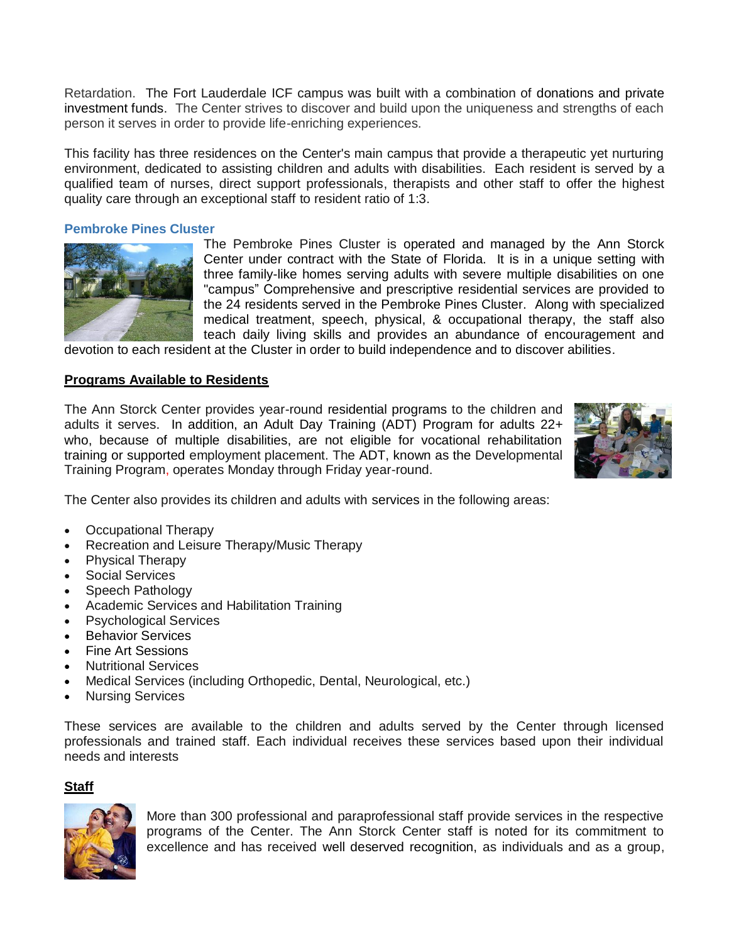Retardation. The Fort Lauderdale ICF campus was built with a combination of donations and private investment funds. The Center strives to discover and build upon the uniqueness and strengths of each person it serves in order to provide life-enriching experiences.

This facility has three residences on the Center's main campus that provide a therapeutic yet nurturing environment, dedicated to assisting children and adults with disabilities. Each resident is served by a qualified team of nurses, direct support professionals, therapists and other staff to offer the highest quality care through an exceptional staff to resident ratio of 1:3.

### **Pembroke Pines Cluster**



The Pembroke Pines Cluster is operated and managed by the Ann Storck Center under contract with the State of Florida. It is in a unique setting with three family-like homes serving adults with severe multiple disabilities on one "campus" Comprehensive and prescriptive residential services are provided to the 24 residents served in the Pembroke Pines Cluster. Along with specialized medical treatment, speech, physical, & occupational therapy, the staff also teach daily living skills and provides an abundance of encouragement and

devotion to each resident at the Cluster in order to build independence and to discover abilities.

### **Programs Available to Residents**

The Ann Storck Center provides year-round residential programs to the children and adults it serves. In addition, an Adult Day Training (ADT) Program for adults 22+ who, because of multiple disabilities, are not eligible for vocational rehabilitation training or supported employment placement. The ADT, known as the Developmental Training Program, operates Monday through Friday year-round.



The Center also provides its children and adults with services in the following areas:

- Occupational Therapy
- Recreation and Leisure Therapy/Music Therapy
- Physical Therapy
- Social Services
- Speech Pathology
- Academic Services and Habilitation Training
- Psychological Services
- **Behavior Services**
- Fine Art Sessions
- Nutritional Services
- Medical Services (including Orthopedic, Dental, Neurological, etc.)
- Nursing Services

These services are available to the children and adults served by the Center through licensed professionals and trained staff. Each individual receives these services based upon their individual needs and interests

### **Staff**



More than 300 professional and paraprofessional staff provide services in the respective programs of the Center. The Ann Storck Center staff is noted for its commitment to excellence and has received well deserved recognition, as individuals and as a group,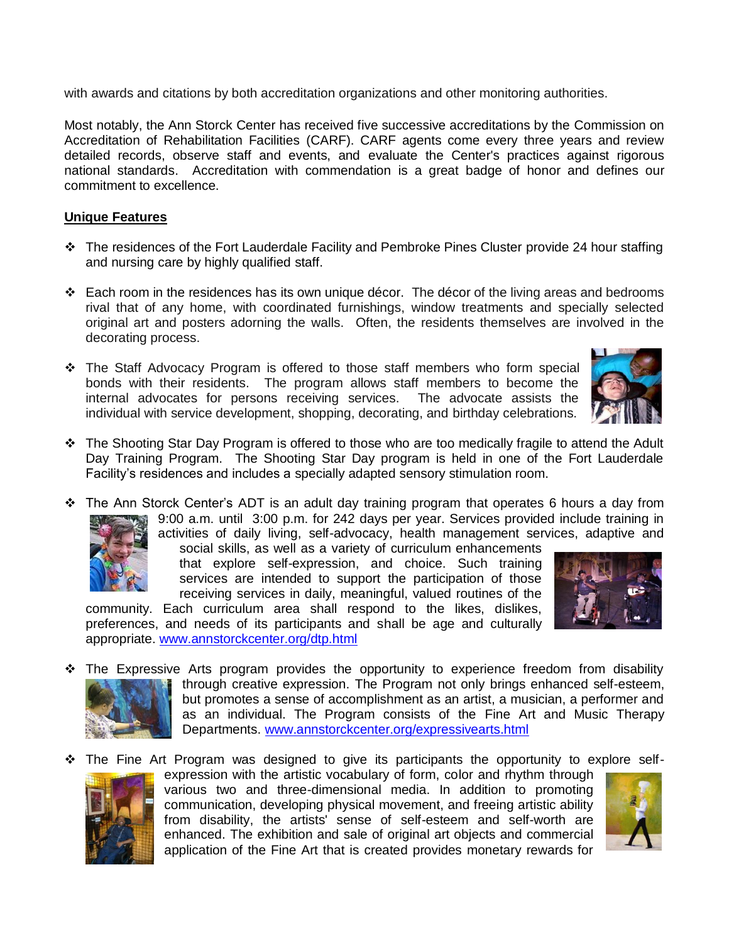with awards and citations by both accreditation organizations and other monitoring authorities.

Most notably, the Ann Storck Center has received five successive accreditations by the Commission on Accreditation of Rehabilitation Facilities (CARF). CARF agents come every three years and review detailed records, observe staff and events, and evaluate the Center's practices against rigorous national standards. Accreditation with commendation is a great badge of honor and defines our commitment to excellence.

## **Unique Features**

- ❖ The residences of the Fort Lauderdale Facility and Pembroke Pines Cluster provide 24 hour staffing and nursing care by highly qualified staff.
- ❖ Each room in the residences has its own unique décor. The décor of the living areas and bedrooms rival that of any home, with coordinated furnishings, window treatments and specially selected original art and posters adorning the walls. Often, the residents themselves are involved in the decorating process.
- ❖ The Staff Advocacy Program is offered to those staff members who form special bonds with their residents. The program allows staff members to become the internal advocates for persons receiving services. The advocate assists the individual with service development, shopping, decorating, and birthday celebrations.



- ❖ The Shooting Star Day Program is offered to those who are too medically fragile to attend the Adult Day Training Program. The Shooting Star Day program is held in one of the Fort Lauderdale Facility's residences and includes a specially adapted sensory stimulation room.
- ❖ The Ann Storck Center's ADT is an adult day training program that operates 6 hours a day from 9:00 a.m. until 3:00 p.m. for 242 days per year. Services provided include training in activities of daily living, self-advocacy, health management services, adaptive and

social skills, as well as a variety of curriculum enhancements that explore self-expression, and choice. Such training services are intended to support the participation of those receiving services in daily, meaningful, valued routines of the

community. Each curriculum area shall respond to the likes, dislikes, preferences, and needs of its participants and shall be age and culturally appropriate. [www.annstorckcenter.org/dtp.html](http://www.annstorckcenter.org/dtp.html)

- 
- ❖ The Expressive Arts program provides the opportunity to experience freedom from disability through creative expression. The Program not only brings enhanced self-esteem, but promotes a sense of accomplishment as an artist, a musician, a performer and as an individual. The Program consists of the [Fine Art](http://www.annstorckcenter.org/arts_fineart.html) and Music Therapy Departments. [www.annstorckcenter.org/expressivearts.html](http://www.annstorckcenter.org/expressivearts.html)
- ❖ The Fine Art Program was designed to give its participants the opportunity to explore self-



expression with the artistic vocabulary of form, color and rhythm through various two and three-dimensional media. In addition to promoting communication, developing physical movement, and freeing artistic ability from disability, the artists' sense of self-esteem and self-worth are enhanced. The exhibition and sale of original art objects and commercial application of the Fine Art that is created provides monetary rewards for